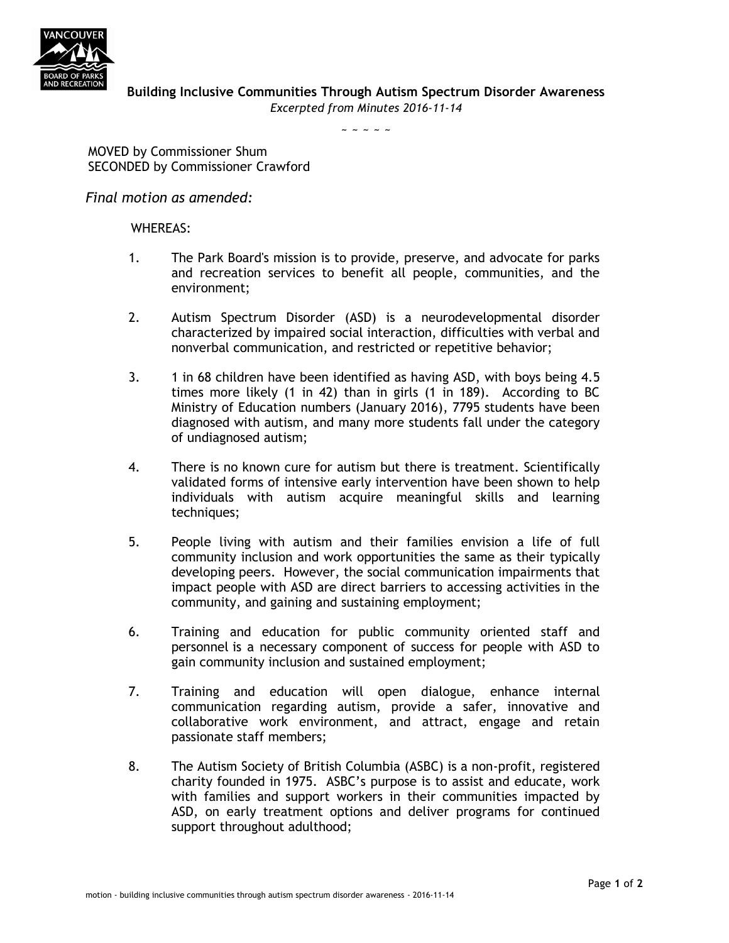

 $\sim$  ~ ~ ~ ~

MOVED by Commissioner Shum SECONDED by Commissioner Crawford

*Final motion as amended:*

## WHEREAS:

- 1. The Park Board's mission is to provide, preserve, and advocate for parks and recreation services to benefit all people, communities, and the environment;
- 2. Autism Spectrum Disorder (ASD) is a neurodevelopmental disorder characterized by impaired social interaction, difficulties with verbal and nonverbal communication, and restricted or repetitive behavior;
- 3. 1 in 68 children have been identified as having ASD, with boys being 4.5 times more likely (1 in 42) than in girls (1 in 189). According to BC Ministry of Education numbers (January 2016), 7795 students have been diagnosed with autism, and many more students fall under the category of undiagnosed autism;
- 4. There is no known cure for autism but there is treatment. Scientifically validated forms of intensive early intervention have been shown to help individuals with autism acquire meaningful skills and learning techniques:
- 5. People living with autism and their families envision a life of full community inclusion and work opportunities the same as their typically developing peers. However, the social communication impairments that impact people with ASD are direct barriers to accessing activities in the community, and gaining and sustaining employment;
- 6. Training and education for public community oriented staff and personnel is a necessary component of success for people with ASD to gain community inclusion and sustained employment;
- 7. Training and education will open dialogue, enhance internal communication regarding autism, provide a safer, innovative and collaborative work environment, and attract, engage and retain passionate staff members;
- 8. The Autism Society of British Columbia (ASBC) is a non-profit, registered charity founded in 1975. ASBC's purpose is to assist and educate, work with families and support workers in their communities impacted by ASD, on early treatment options and deliver programs for continued support throughout adulthood;